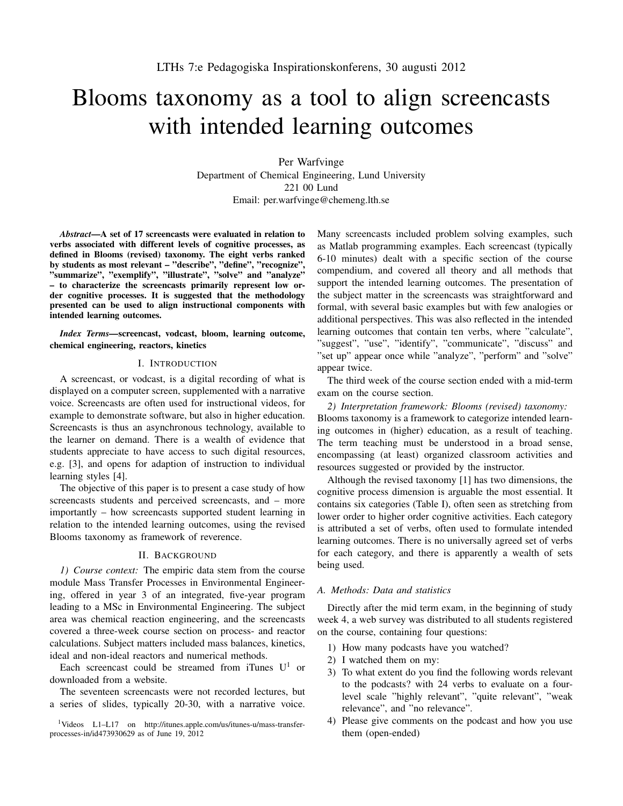# Blooms taxonomy as a tool to align screencasts with intended learning outcomes

Per Warfvinge Department of Chemical Engineering, Lund University 221 00 Lund Email: per.warfvinge@chemeng.lth.se

*Abstract*—A set of 17 screencasts were evaluated in relation to verbs associated with different levels of cognitive processes, as defined in Blooms (revised) taxonomy. The eight verbs ranked by students as most relevant – "describe", "define", "recognize", "summarize", "exemplify", "illustrate", "solve" and "analyze" – to characterize the screencasts primarily represent low order cognitive processes. It is suggested that the methodology presented can be used to align instructional components with intended learning outcomes.

*Index Terms—*screencast, vodcast, bloom, learning outcome, chemical engineering, reactors, kinetics

# I. INTRODUCTION

A screencast, or vodcast, is a digital recording of what is displayed on a computer screen, supplemented with a narrative voice. Screencasts are often used for instructional videos, for example to demonstrate software, but also in higher education. Screencasts is thus an asynchronous technology, available to the learner on demand. There is a wealth of evidence that students appreciate to have access to such digital resources, e.g. [3], and opens for adaption of instruction to individual learning styles [4].

The objective of this paper is to present a case study of how screencasts students and perceived screencasts, and – more importantly – how screencasts supported student learning in relation to the intended learning outcomes, using the revised Blooms taxonomy as framework of reverence.

## II. BACKGROUND

*1) Course context:* The empiric data stem from the course module Mass Transfer Processes in Environmental Engineering, offered in year 3 of an integrated, five-year program leading to a MSc in Environmental Engineering. The subject area was chemical reaction engineering, and the screencasts covered a three-week course section on process- and reactor calculations. Subject matters included mass balances, kinetics, ideal and non-ideal reactors and numerical methods.

Each screencast could be streamed from iTunes  $U^1$  or downloaded from a website.

The seventeen screencasts were not recorded lectures, but a series of slides, typically 20-30, with a narrative voice.

<sup>1</sup>Videos L1–L17 on http://itunes.apple.com/us/itunes-u/mass-transferprocesses-in/id473930629 as of June 19, 2012

Many screencasts included problem solving examples, such as Matlab programming examples. Each screencast (typically 6-10 minutes) dealt with a specific section of the course compendium, and covered all theory and all methods that support the intended learning outcomes. The presentation of the subject matter in the screencasts was straightforward and formal, with several basic examples but with few analogies or additional perspectives. This was also reflected in the intended learning outcomes that contain ten verbs, where "calculate", "suggest", "use", "identify", "communicate", "discuss" and "set up" appear once while "analyze", "perform" and "solve" appear twice.

The third week of the course section ended with a mid-term exam on the course section.

*2) Interpretation framework: Blooms (revised) taxonomy:* Blooms taxonomy is a framework to categorize intended learning outcomes in (higher) education, as a result of teaching. The term teaching must be understood in a broad sense, encompassing (at least) organized classroom activities and resources suggested or provided by the instructor.

Although the revised taxonomy [1] has two dimensions, the cognitive process dimension is arguable the most essential. It contains six categories (Table I), often seen as stretching from lower order to higher order cognitive activities. Each category is attributed a set of verbs, often used to formulate intended learning outcomes. There is no universally agreed set of verbs for each category, and there is apparently a wealth of sets being used.

# *A. Methods: Data and statistics*

Directly after the mid term exam, in the beginning of study week 4, a web survey was distributed to all students registered on the course, containing four questions:

- 1) How many podcasts have you watched?
- 2) I watched them on my:
- 3) To what extent do you find the following words relevant to the podcasts? with 24 verbs to evaluate on a fourlevel scale "highly relevant", "quite relevant", "weak relevance", and "no relevance".
- 4) Please give comments on the podcast and how you use them (open-ended)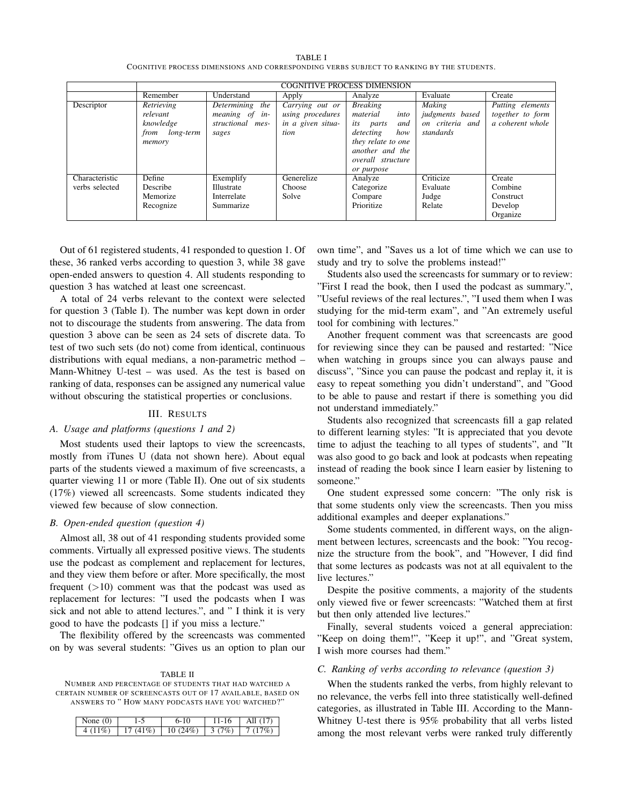| TABLE I                                                                                  |
|------------------------------------------------------------------------------------------|
| COGNITIVE PROCESS DIMENSIONS AND CORRESPONDING VERBS SUBJECT TO RANKING BY THE STUDENTS. |

|                | <b>COGNITIVE PROCESS DIMENSION</b> |                    |                   |                          |                 |                  |  |  |
|----------------|------------------------------------|--------------------|-------------------|--------------------------|-----------------|------------------|--|--|
|                | Remember                           | Understand         | Apply             | Analyze                  | Evaluate        | Create           |  |  |
| Descriptor     | Retrieving                         | Determining<br>the | Carrying out or   | <b>Breaking</b>          | <b>Making</b>   | Putting elements |  |  |
|                | relevant                           | meaning of in-     | using procedures  | material<br>into         | judgments based | together to form |  |  |
|                | knowledge                          | structional mes-   | in a given situa- | <i>its parts</i><br>and  | on criteria and | a coherent whole |  |  |
|                | from long-term                     | sages              | tion              | detecting<br>how         | standards       |                  |  |  |
|                | memory                             |                    |                   | they relate to one       |                 |                  |  |  |
|                |                                    |                    |                   | another and the          |                 |                  |  |  |
|                |                                    |                    |                   | <i>overall structure</i> |                 |                  |  |  |
|                |                                    |                    |                   | or purpose               |                 |                  |  |  |
| Characteristic | Define                             | Exemplify          | Generelize        | Analyze                  | Criticize       | Create           |  |  |
| verbs selected | Describe                           | Illustrate         | Choose            | Categorize               | Evaluate        | Combine          |  |  |
|                | Memorize                           | Interrelate        | Solve             | Compare                  | Judge           | Construct        |  |  |
|                | Recognize                          | Summarize          |                   | Prioritize               | Relate          | Develop          |  |  |
|                |                                    |                    |                   |                          |                 | Organize         |  |  |

Out of 61 registered students, 41 responded to question 1. Of these, 36 ranked verbs according to question 3, while 38 gave open-ended answers to question 4. All students responding to question 3 has watched at least one screencast.

A total of 24 verbs relevant to the context were selected for question 3 (Table I). The number was kept down in order not to discourage the students from answering. The data from question 3 above can be seen as 24 sets of discrete data. To test of two such sets (do not) come from identical, continuous distributions with equal medians, a non-parametric method – Mann-Whitney U-test – was used. As the test is based on ranking of data, responses can be assigned any numerical value without obscuring the statistical properties or conclusions.

## III. RESULTS

## *A. Usage and platforms (questions 1 and 2)*

Most students used their laptops to view the screencasts, mostly from iTunes U (data not shown here). About equal parts of the students viewed a maximum of five screencasts, a quarter viewing 11 or more (Table II). One out of six students (17%) viewed all screencasts. Some students indicated they viewed few because of slow connection.

### *B. Open-ended question (question 4)*

Almost all, 38 out of 41 responding students provided some comments. Virtually all expressed positive views. The students use the podcast as complement and replacement for lectures, and they view them before or after. More specifically, the most frequent  $(>10)$  comment was that the podcast was used as replacement for lectures: "I used the podcasts when I was sick and not able to attend lectures.", and " I think it is very good to have the podcasts [] if you miss a lecture."

The flexibility offered by the screencasts was commented on by was several students: "Gives us an option to plan our

TABLE II NUMBER AND PERCENTAGE OF STUDENTS THAT HAD WATCHED A CERTAIN NUMBER OF SCREENCASTS OUT OF 17 AVAILABLE, BASED ON ANSWERS TO " HOW MANY PODCASTS HAVE YOU WATCHED?"

| None $(0)$ |             | $6-10$  | $11 - 16$ | $\parallel$ All $(17)$       |
|------------|-------------|---------|-----------|------------------------------|
| 4 $(11\%)$ | 17 $(41\%)$ | 10(24%) |           | $\mid$ 3 (7%) $\mid$ 7 (17%) |

own time", and "Saves us a lot of time which we can use to study and try to solve the problems instead!"

Students also used the screencasts for summary or to review: "First I read the book, then I used the podcast as summary.", "Useful reviews of the real lectures.", "I used them when I was studying for the mid-term exam", and "An extremely useful tool for combining with lectures."

Another frequent comment was that screencasts are good for reviewing since they can be paused and restarted: "Nice when watching in groups since you can always pause and discuss", "Since you can pause the podcast and replay it, it is easy to repeat something you didn't understand", and "Good to be able to pause and restart if there is something you did not understand immediately."

Students also recognized that screencasts fill a gap related to different learning styles: "It is appreciated that you devote time to adjust the teaching to all types of students", and "It was also good to go back and look at podcasts when repeating instead of reading the book since I learn easier by listening to someone."

One student expressed some concern: "The only risk is that some students only view the screencasts. Then you miss additional examples and deeper explanations."

Some students commented, in different ways, on the alignment between lectures, screencasts and the book: "You recognize the structure from the book", and "However, I did find that some lectures as podcasts was not at all equivalent to the live lectures."

Despite the positive comments, a majority of the students only viewed five or fewer screencasts: "Watched them at first but then only attended live lectures."

Finally, several students voiced a general appreciation: "Keep on doing them!", "Keep it up!", and "Great system, I wish more courses had them."

#### *C. Ranking of verbs according to relevance (question 3)*

When the students ranked the verbs, from highly relevant to no relevance, the verbs fell into three statistically well-defined categories, as illustrated in Table III. According to the Mann-Whitney U-test there is 95% probability that all verbs listed among the most relevant verbs were ranked truly differently